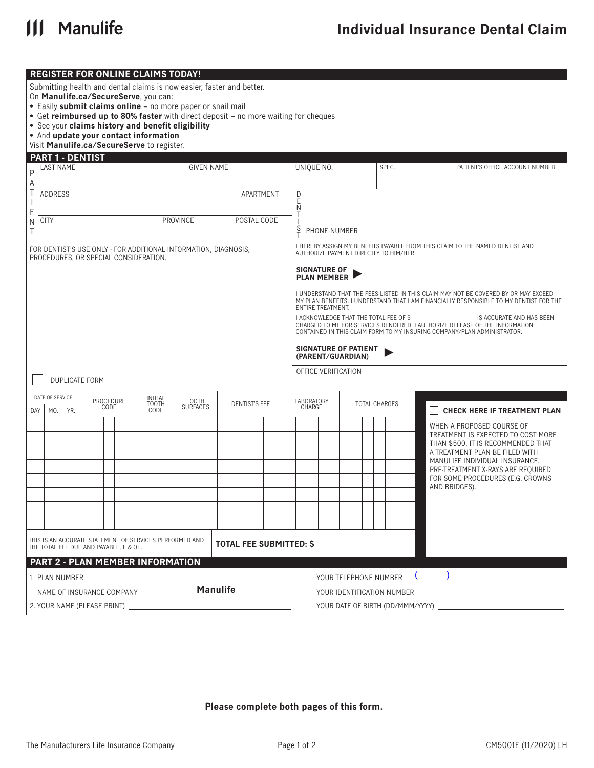

**REGISTER FOR ONLINE CLAIMS TODAY!**

|        | On Manulife.ca/SecureServe, you can:<br>• And update your contact information<br>Visit Manulife.ca/SecureServe to register. |                       |  |                   |  |                      | Submitting health and dental claims is now easier, faster and better.<br>• Easily submit claims online - no more paper or snail mail<br>• Get reimbursed up to 80% faster with direct deposit - no more waiting for cheques<br>• See your claims history and benefit eligibility |                                |  |  |             |               |                      |                                           |  |                      |  |       |                                     |                                     |                                                                                                                                                                                    |  |
|--------|-----------------------------------------------------------------------------------------------------------------------------|-----------------------|--|-------------------|--|----------------------|----------------------------------------------------------------------------------------------------------------------------------------------------------------------------------------------------------------------------------------------------------------------------------|--------------------------------|--|--|-------------|---------------|----------------------|-------------------------------------------|--|----------------------|--|-------|-------------------------------------|-------------------------------------|------------------------------------------------------------------------------------------------------------------------------------------------------------------------------------|--|
|        | PART 1 - DENTIST                                                                                                            |                       |  |                   |  |                      |                                                                                                                                                                                                                                                                                  |                                |  |  |             |               |                      |                                           |  |                      |  |       |                                     |                                     |                                                                                                                                                                                    |  |
|        | <b>LAST NAME</b>                                                                                                            |                       |  |                   |  |                      | <b>GIVEN NAME</b>                                                                                                                                                                                                                                                                |                                |  |  |             |               |                      | UNIQUE NO.                                |  |                      |  | SPEC. |                                     |                                     | PATIENT'S OFFICE ACCOUNT NUMBER                                                                                                                                                    |  |
| Α      |                                                                                                                             |                       |  |                   |  |                      |                                                                                                                                                                                                                                                                                  |                                |  |  |             |               |                      |                                           |  |                      |  |       |                                     |                                     |                                                                                                                                                                                    |  |
| Τ      | ADDRESS                                                                                                                     |                       |  |                   |  |                      |                                                                                                                                                                                                                                                                                  |                                |  |  | APARTMENT   | D<br>E<br>N   |                      |                                           |  |                      |  |       |                                     |                                     |                                                                                                                                                                                    |  |
| Ε      | <b>CITY</b>                                                                                                                 |                       |  |                   |  |                      | <b>PROVINCE</b>                                                                                                                                                                                                                                                                  |                                |  |  | POSTAL CODE | Т             |                      |                                           |  |                      |  |       |                                     |                                     |                                                                                                                                                                                    |  |
| Ν<br>Τ |                                                                                                                             |                       |  |                   |  |                      |                                                                                                                                                                                                                                                                                  |                                |  |  |             | $\frac{S}{T}$ |                      | PHONE NUMBER                              |  |                      |  |       |                                     |                                     |                                                                                                                                                                                    |  |
|        | PROCEDURES, OR SPECIAL CONSIDERATION.                                                                                       |                       |  |                   |  |                      | FOR DENTIST'S USE ONLY - FOR ADDITIONAL INFORMATION, DIAGNOSIS,                                                                                                                                                                                                                  |                                |  |  |             |               |                      | AUTHORIZE PAYMENT DIRECTLY TO HIM/HER.    |  |                      |  |       |                                     |                                     | I HEREBY ASSIGN MY BENEFITS PAYABLE FROM THIS CLAIM TO THE NAMED DENTIST AND                                                                                                       |  |
|        |                                                                                                                             |                       |  |                   |  |                      |                                                                                                                                                                                                                                                                                  |                                |  |  |             |               |                      | <b>SIGNATURE OF</b><br><b>PLAN MEMBER</b> |  |                      |  |       |                                     |                                     |                                                                                                                                                                                    |  |
|        |                                                                                                                             |                       |  |                   |  |                      |                                                                                                                                                                                                                                                                                  |                                |  |  |             |               |                      | ENTIRE TREATMENT.                         |  |                      |  |       |                                     |                                     | I UNDERSTAND THAT THE FEES LISTED IN THIS CLAIM MAY NOT BE COVERED BY OR MAY EXCEED<br>MY PLAN BENEFITS. I UNDERSTAND THAT I AM FINANCIALLY RESPONSIBLE TO MY DENTIST FOR THE      |  |
|        |                                                                                                                             |                       |  |                   |  |                      |                                                                                                                                                                                                                                                                                  |                                |  |  |             |               |                      | I ACKNOWLEDGE THAT THE TOTAL FEE OF \$    |  |                      |  |       |                                     |                                     | IS ACCURATE AND HAS BEEN<br>CHARGED TO ME FOR SERVICES RENDERED. I AUTHORIZE RELEASE OF THE INFORMATION<br>CONTAINED IN THIS CLAIM FORM TO MY INSURING COMPANY/PLAN ADMINISTRATOR. |  |
|        |                                                                                                                             |                       |  |                   |  |                      |                                                                                                                                                                                                                                                                                  |                                |  |  |             |               |                      | SIGNATURE OF PATIENT<br>(PARENT/GUARDIAN) |  |                      |  |       |                                     |                                     |                                                                                                                                                                                    |  |
|        |                                                                                                                             | <b>DUPLICATE FORM</b> |  |                   |  |                      |                                                                                                                                                                                                                                                                                  |                                |  |  |             |               |                      | OFFICE VERIFICATION                       |  |                      |  |       |                                     |                                     |                                                                                                                                                                                    |  |
|        | DATE OF SERVICE                                                                                                             |                       |  |                   |  | <b>INITIAL</b>       |                                                                                                                                                                                                                                                                                  |                                |  |  |             |               |                      |                                           |  |                      |  |       |                                     |                                     |                                                                                                                                                                                    |  |
| DAY    | MO.                                                                                                                         | YR.                   |  | PROCEDURE<br>CODE |  | <b>TOOTH</b><br>CODE | TOOTH<br><b>SURFACES</b>                                                                                                                                                                                                                                                         | <b>DENTIST'S FEE</b>           |  |  |             |               | LABORATORY<br>CHARGE |                                           |  | <b>TOTAL CHARGES</b> |  |       | <b>CHECK HERE IF TREATMENT PLAN</b> |                                     |                                                                                                                                                                                    |  |
|        |                                                                                                                             |                       |  |                   |  |                      |                                                                                                                                                                                                                                                                                  |                                |  |  |             |               |                      |                                           |  |                      |  |       |                                     |                                     | WHEN A PROPOSED COURSE OF                                                                                                                                                          |  |
|        |                                                                                                                             |                       |  |                   |  |                      |                                                                                                                                                                                                                                                                                  |                                |  |  |             |               |                      |                                           |  |                      |  |       |                                     |                                     | TREATMENT IS EXPECTED TO COST MORE                                                                                                                                                 |  |
|        |                                                                                                                             |                       |  |                   |  |                      |                                                                                                                                                                                                                                                                                  |                                |  |  |             |               |                      |                                           |  |                      |  |       |                                     |                                     | THAN \$500, IT IS RECOMMENDED THAT<br>A TREATMENT PLAN BE FILED WITH                                                                                                               |  |
|        |                                                                                                                             |                       |  |                   |  |                      |                                                                                                                                                                                                                                                                                  |                                |  |  |             |               |                      |                                           |  |                      |  |       |                                     |                                     | MANULIFE INDIVIDUAL INSURANCE.                                                                                                                                                     |  |
|        |                                                                                                                             |                       |  |                   |  |                      |                                                                                                                                                                                                                                                                                  |                                |  |  |             |               |                      |                                           |  |                      |  |       |                                     |                                     | PRE-TREATMENT X-RAYS ARE REQUIRED<br>FOR SOME PROCEDURES (E.G. CROWNS                                                                                                              |  |
|        |                                                                                                                             |                       |  |                   |  |                      |                                                                                                                                                                                                                                                                                  |                                |  |  |             |               |                      |                                           |  |                      |  |       |                                     |                                     | AND BRIDGES).                                                                                                                                                                      |  |
|        |                                                                                                                             |                       |  |                   |  |                      |                                                                                                                                                                                                                                                                                  |                                |  |  |             |               |                      |                                           |  |                      |  |       |                                     |                                     |                                                                                                                                                                                    |  |
|        |                                                                                                                             |                       |  |                   |  |                      |                                                                                                                                                                                                                                                                                  |                                |  |  |             |               |                      |                                           |  |                      |  |       |                                     |                                     |                                                                                                                                                                                    |  |
|        |                                                                                                                             |                       |  |                   |  |                      |                                                                                                                                                                                                                                                                                  |                                |  |  |             |               |                      |                                           |  |                      |  |       |                                     |                                     |                                                                                                                                                                                    |  |
|        | THE TOTAL FEE DUE AND PAYABLE, E & OE.                                                                                      |                       |  |                   |  |                      | THIS IS AN ACCURATE STATEMENT OF SERVICES PERFORMED AND                                                                                                                                                                                                                          | <b>TOTAL FEE SUBMITTED: \$</b> |  |  |             |               |                      |                                           |  |                      |  |       |                                     |                                     |                                                                                                                                                                                    |  |
|        |                                                                                                                             |                       |  |                   |  |                      | <b>PART 2 - PLAN MEMBER INFORMATION</b>                                                                                                                                                                                                                                          |                                |  |  |             |               |                      |                                           |  |                      |  |       |                                     |                                     |                                                                                                                                                                                    |  |
|        |                                                                                                                             |                       |  |                   |  |                      |                                                                                                                                                                                                                                                                                  |                                |  |  |             |               |                      |                                           |  |                      |  |       |                                     | YOUR TELEPHONE NUMBER <u>(and )</u> |                                                                                                                                                                                    |  |
|        | NAME OF INSURANCE COMPANY ___________                                                                                       |                       |  |                   |  |                      |                                                                                                                                                                                                                                                                                  | <b>Manulife</b>                |  |  |             |               |                      |                                           |  |                      |  |       |                                     |                                     |                                                                                                                                                                                    |  |
|        |                                                                                                                             |                       |  |                   |  |                      |                                                                                                                                                                                                                                                                                  |                                |  |  |             |               |                      |                                           |  |                      |  |       |                                     |                                     |                                                                                                                                                                                    |  |

**Please complete both pages of this form.**